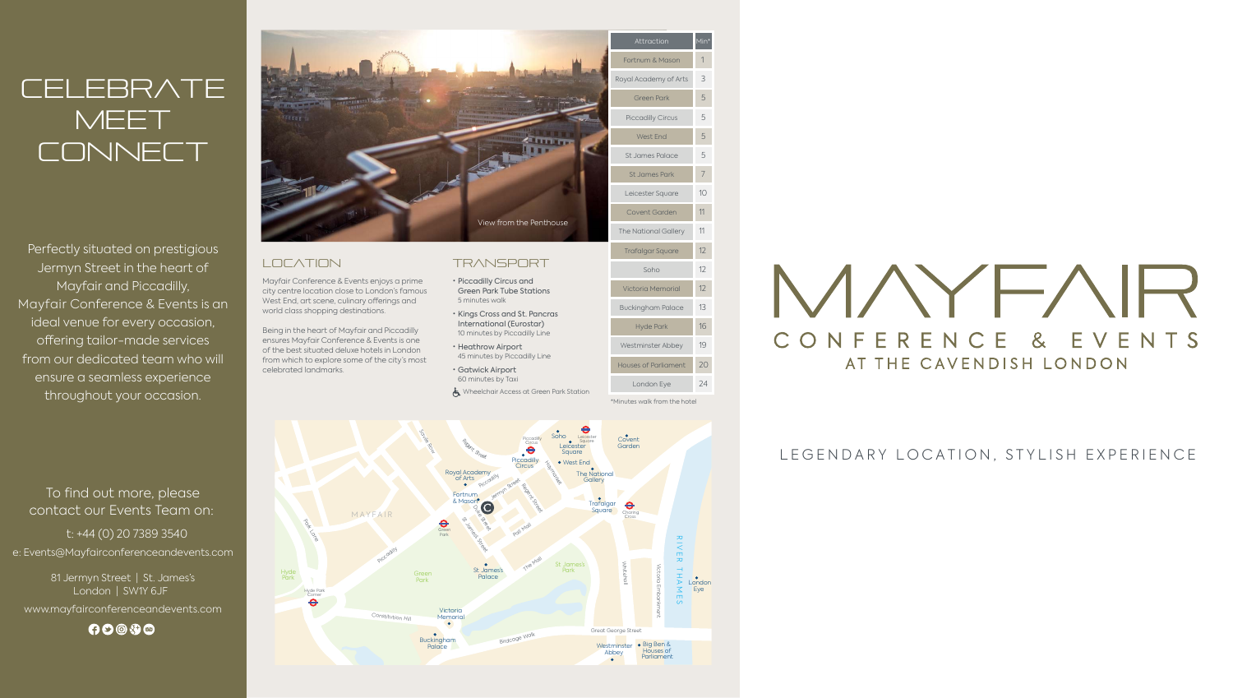# **CELEBRATE MEET** CONNECT

Perfectly situated on prestigious Jermyn Street in the heart of Mayfair and Piccadilly, Mayfair Conference & Events is an ideal venue for every occasion, offering tailor-made services from our dedicated team who will ensure a seamless experience throughout your occasion.

# To find out more, please contact our Events Team on:

t: +44 (0) 20 7389 3540 e: Events@Mayfairconferenceandevents.com

> 81 Jermyn Street | St. James's London | SW1Y 6JF

www.mayfairconferenceandevents.com

 $0000$ 

LEGENDARY LOCATION, STYLISH EXPERIENCE



# **LOCATION**

- Piccadilly Circus and Green Park Tube Stations 5 minutes walk
- Kings Cross and St. Pancras International (Eurostar) 10 minutes by Piccadilly Line
- Heathrow Airport 45 minutes by Piccadilly Line
- Gatwick Airport 60 minutes by Taxi

Wheelchair Access at Green Park Station

\*Minutes walk from the hotel

Mayfair Conference & Events enjoys a prime city centre location close to London's famous West End, art scene, culinary offerings and world class shopping destinations.

Being in the heart of Mayfair and Piccadilly ensures Mayfair Conference & Events is one of the best situated deluxe hotels in London from which to explore some of the city's most celebrated landmarks.

# **TRANSPORT**

| Attraction                  | Min*           |
|-----------------------------|----------------|
| Fortnum & Mason             | 1              |
| Royal Academy of Arts       | 3              |
| <b>Green Park</b>           | 5              |
| <b>Piccadilly Circus</b>    | 5              |
| <b>West End</b>             | 5              |
| St James Palace             | 5              |
| St James Park               | $\overline{7}$ |
| Leicester Square            | 10             |
| Covent Garden               | 11             |
| <b>The National Gallery</b> | 11             |
| <b>Trafalgar Square</b>     | 12             |
| Soho                        | 12             |
| Victoria Memorial           | 12             |
| <b>Buckingham Palace</b>    | 13             |
| <b>Hyde Park</b>            | 16             |
| Westminster Abbey           | 19             |
| <b>Houses of Parliament</b> | 20             |
| London Eye                  | 24             |

MAYFAIR CONFERENCE & EVENTS AT THE CAVENDISH LONDON